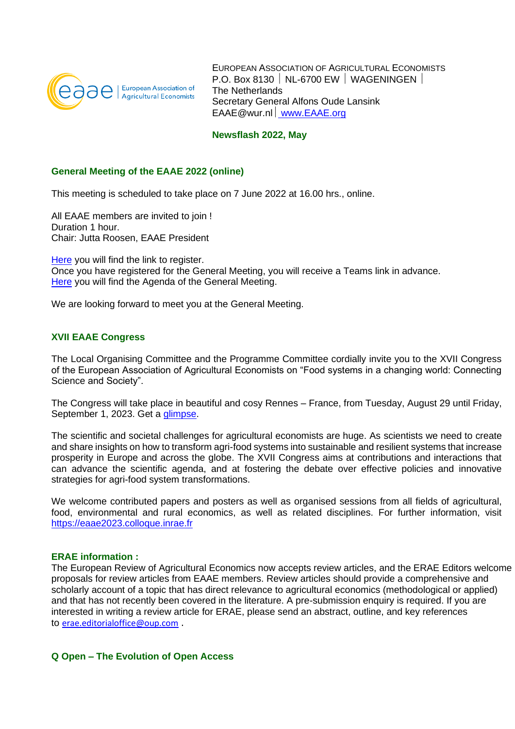

EUROPEAN ASSOCIATION OF AGRICULTURAL ECONOMISTS P.O. Box 8130 | NL-6700 EW | WAGENINGEN | The Netherlands Secretary General Alfons Oude Lansink EAAE@wur.nl [www.EAAE.org](http://eaae.org/)

### **Newsflash 2022, May**

# **General Meeting of the EAAE 2022 (online)**

This meeting is scheduled to take place on 7 June 2022 at 16.00 hrs., online.

All EAAE members are invited to join ! Duration 1 hour. Chair: Jutta Roosen, EAAE President

[Here](https://eur03.safelinks.protection.outlook.com/?url=https%3A%2F%2Fevent.wur.nl%2F132529%2Fsubscribe&data=05%7C01%7Ceaae%40wur.nl%7C525e58848ed048fc3b3c08da34c17b7d%7C27d137e5761f4dc1af88d26430abb18f%7C0%7C0%7C637880302854294768%7CUnknown%7CTWFpbGZsb3d8eyJWIjoiMC4wLjAwMDAiLCJQIjoiV2luMzIiLCJBTiI6Ik1haWwiLCJXVCI6Mn0%3D%7C3000%7C%7C%7C&sdata=748rQjWJlMoGH0Y3rMhBT3zWc0ZTqdTRDpttKhibyqg%3D&reserved=0) you will find the link to register. Once you have registered for the General Meeting, you will receive a Teams link in advance. [Here](https://www.wecr.wur.nl/EAAEUploads/PDF/EAAE1618%20AGENDA%20General%20Meeting%20June%207th%202022.pdf) you will find the Agenda of the General Meeting.

We are looking forward to meet you at the General Meeting.

# **XVII EAAE Congress**

The Local Organising Committee and the Programme Committee cordially invite you to the XVII Congress of the European Association of Agricultural Economists on "Food systems in a changing world: Connecting Science and Society".

The Congress will take place in beautiful and cosy Rennes – France, from Tuesday, August 29 until Friday, September 1, 2023. Get a [glimpse.](https://eur03.safelinks.protection.outlook.com/?url=https%3A%2F%2Fwww.youtube.com%2Fwatch%3Fv%3D0Vgl0HP_VWA&data=04%7C01%7Ceaae%40wur.nl%7C481d8a98f34e4923dca608da1093bea6%7C27d137e5761f4dc1af88d26430abb18f%7C0%7C0%7C637840523976269524%7CUnknown%7CTWFpbGZsb3d8eyJWIjoiMC4wLjAwMDAiLCJQIjoiV2luMzIiLCJBTiI6Ik1haWwiLCJXVCI6Mn0%3D%7C3000&sdata=sRpfCJBUpfXFeziWckmHKMsIA88dR40xDVcEUbDxGrE%3D&reserved=0)

The scientific and societal challenges for agricultural economists are huge. As scientists we need to create and share insights on how to transform agri-food systems into sustainable and resilient systems that increase prosperity in Europe and across the globe. The XVII Congress aims at contributions and interactions that can advance the scientific agenda, and at fostering the debate over effective policies and innovative strategies for agri-food system transformations.

We welcome contributed papers and posters as well as organised sessions from all fields of agricultural, food, environmental and rural economics, as well as related disciplines. For further information, visit [https://eaae2023.colloque.inrae.fr](https://eur03.safelinks.protection.outlook.com/?url=https%3A%2F%2Feaae2023.colloque.inrae.fr%2F&data=04%7C01%7Ceaae%40wur.nl%7C481d8a98f34e4923dca608da1093bea6%7C27d137e5761f4dc1af88d26430abb18f%7C0%7C0%7C637840523976269524%7CUnknown%7CTWFpbGZsb3d8eyJWIjoiMC4wLjAwMDAiLCJQIjoiV2luMzIiLCJBTiI6Ik1haWwiLCJXVCI6Mn0%3D%7C3000&sdata=Vm3enr8RZZcx2rRSxwA2nrR4keM8kro5Iwu%2B%2FidSaVk%3D&reserved=0)

#### **ERAE information :**

The European Review of Agricultural Economics now accepts review articles, and the ERAE Editors welcome proposals for review articles from EAAE members. Review articles should provide a comprehensive and scholarly account of a topic that has direct relevance to agricultural economics (methodological or applied) and that has not recently been covered in the literature. A pre-submission enquiry is required. If you are interested in writing a review article for ERAE, please send an abstract, outline, and key references to [erae.editorialoffice@oup.com](mailto:erae.editorialoffice@oup.com) .

## **Q Open – The Evolution of Open Access**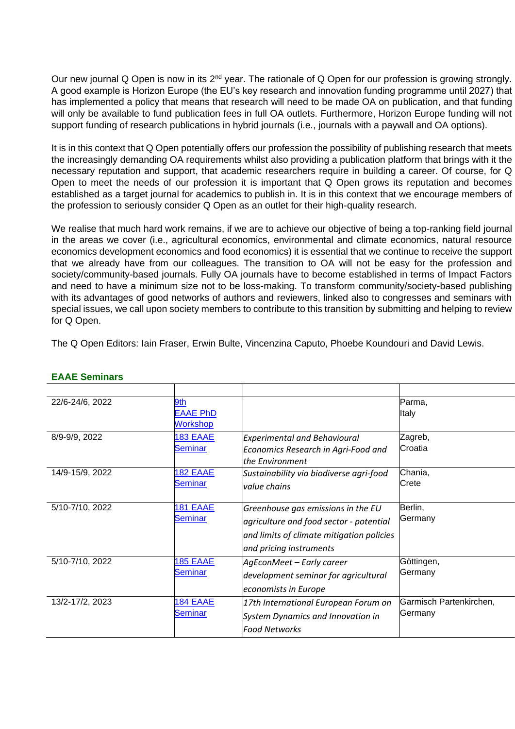Our new journal Q Open is now in its 2<sup>nd</sup> year. The rationale of Q Open for our profession is growing strongly. A good example is Horizon Europe (the EU's key research and innovation funding programme until 2027) that has implemented a policy that means that research will need to be made OA on publication, and that funding will only be available to fund publication fees in full OA outlets. Furthermore, Horizon Europe funding will not support funding of research publications in hybrid journals (i.e., journals with a paywall and OA options).

It is in this context that Q Open potentially offers our profession the possibility of publishing research that meets the increasingly demanding OA requirements whilst also providing a publication platform that brings with it the necessary reputation and support, that academic researchers require in building a career. Of course, for Q Open to meet the needs of our profession it is important that Q Open grows its reputation and becomes established as a target journal for academics to publish in. It is in this context that we encourage members of the profession to seriously consider Q Open as an outlet for their high-quality research.

We realise that much hard work remains, if we are to achieve our objective of being a top-ranking field journal in the areas we cover (i.e., agricultural economics, environmental and climate economics, natural resource economics development economics and food economics) it is essential that we continue to receive the support that we already have from our colleagues. The transition to OA will not be easy for the profession and society/community-based journals. Fully OA journals have to become established in terms of Impact Factors and need to have a minimum size not to be loss-making. To transform community/society-based publishing with its advantages of good networks of authors and reviewers, linked also to congresses and seminars with special issues, we call upon society members to contribute to this transition by submitting and helping to review for Q Open.

The Q Open Editors: Iain Fraser, Erwin Bulte, Vincenzina Caputo, Phoebe Koundouri and David Lewis.

| 22/6-24/6, 2022 | 9th             |                                           | Parma,                  |
|-----------------|-----------------|-------------------------------------------|-------------------------|
|                 | <b>EAAE PhD</b> |                                           | ltalv                   |
|                 | <b>Workshop</b> |                                           |                         |
| 8/9-9/9, 2022   | <b>183 EAAE</b> | <b>Experimental and Behavioural</b>       | Zagreb,                 |
|                 | <b>Seminar</b>  | Economics Research in Agri-Food and       | Croatia                 |
|                 |                 | the Environment                           |                         |
| 14/9-15/9, 2022 | <b>182 EAAE</b> | Sustainability via biodiverse agri-food   | Chania,                 |
|                 | <b>Seminar</b>  | lvalue chains                             | Crete                   |
|                 |                 |                                           |                         |
| 5/10-7/10, 2022 | <b>181 EAAE</b> | Greenhouse gas emissions in the EU        | Berlin,                 |
|                 | <b>Seminar</b>  | agriculture and food sector - potential   | Germany                 |
|                 |                 | and limits of climate mitigation policies |                         |
|                 |                 | and pricing instruments                   |                         |
| 5/10-7/10, 2022 | <b>185 EAAE</b> | AgEconMeet - Early career                 | Göttingen,              |
|                 | <b>Seminar</b>  | development seminar for agricultural      | Germany                 |
|                 |                 | economists in Europe                      |                         |
| 13/2-17/2, 2023 | 184 EAAE        | 17th International European Forum on      | Garmisch Partenkirchen, |
|                 | <b>Seminar</b>  | System Dynamics and Innovation in         | Germany                 |
|                 |                 | <b>Food Networks</b>                      |                         |

## **EAAE Seminars**